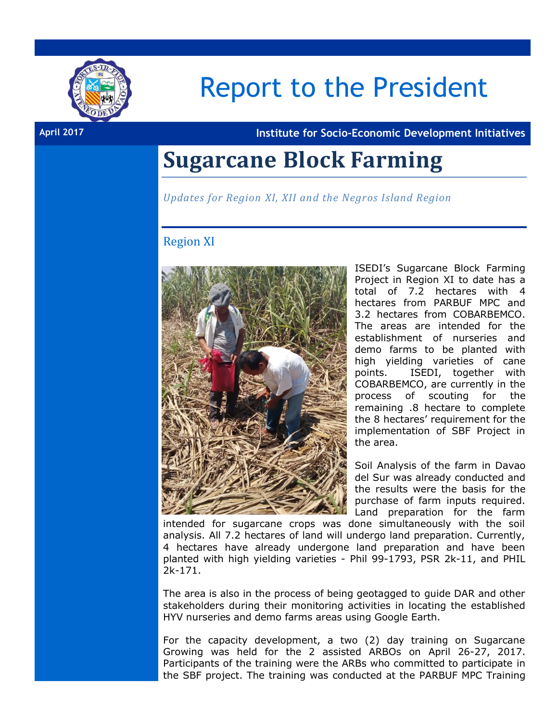

# Report to the President

**April 2017 Institute for Socio-Economic Development Initiatives**

### **Sugarcane Block Farming**

*Updates for Region XI, XII and the Negros Island Region*

#### Region XI



ISEDI's Sugarcane Block Farming Project in Region XI to date has a total of 7.2 hectares with 4 hectares from PARBUF MPC and 3.2 hectares from COBARBEMCO. The areas are intended for the establishment of nurseries and demo farms to be planted with high yielding varieties of cane points. ISEDI, together with COBARBEMCO, are currently in the process of scouting for the remaining .8 hectare to complete the 8 hectares' requirement for the implementation of SBF Project in the area.

Soil Analysis of the farm in Davao del Sur was already conducted and the results were the basis for the purchase of farm inputs required. Land preparation for the farm

intended for sugarcane crops was done simultaneously with the soil analysis. All 7.2 hectares of land will undergo land preparation. Currently, 4 hectares have already undergone land preparation and have been planted with high yielding varieties - Phil 99-1793, PSR 2k-11, and PHIL 2k-171.

The area is also in the process of being geotagged to guide DAR and other stakeholders during their monitoring activities in locating the established HYV nurseries and demo farms areas using Google Earth.

For the capacity development, a two (2) day training on Sugarcane Growing was held for the 2 assisted ARBOs on April 26-27, 2017. Participants of the training were the ARBs who committed to participate in the SBF project. The training was conducted at the PARBUF MPC Training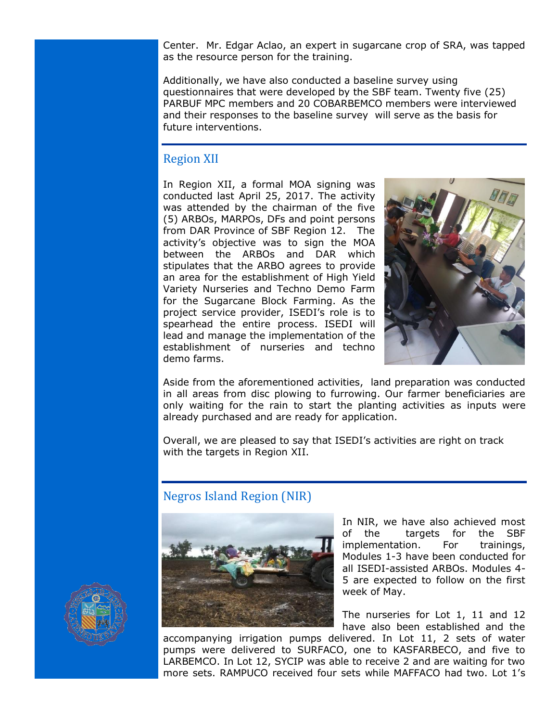Center. Mr. Edgar Aclao, an expert in sugarcane crop of SRA, was tapped as the resource person for the training.

Additionally, we have also conducted a baseline survey using questionnaires that were developed by the SBF team. Twenty five (25) PARBUF MPC members and 20 COBARBEMCO members were interviewed and their responses to the baseline survey will serve as the basis for future interventions.

#### Region XII

In Region XII, a formal MOA signing was conducted last April 25, 2017. The activity was attended by the chairman of the five (5) ARBOs, MARPOs, DFs and point persons from DAR Province of SBF Region 12. The activity's objective was to sign the MOA between the ARBOs and DAR which stipulates that the ARBO agrees to provide an area for the establishment of High Yield Variety Nurseries and Techno Demo Farm for the Sugarcane Block Farming. As the project service provider, ISEDI's role is to spearhead the entire process. ISEDI will lead and manage the implementation of the establishment of nurseries and techno demo farms.



Aside from the aforementioned activities, land preparation was conducted in all areas from disc plowing to furrowing. Our farmer beneficiaries are only waiting for the rain to start the planting activities as inputs were already purchased and are ready for application.

Overall, we are pleased to say that ISEDI's activities are right on track with the targets in Region XII.

### Negros Island Region (NIR)



In NIR, we have also achieved most of the targets for the SBF implementation. For trainings, Modules 1-3 have been conducted for all ISEDI-assisted ARBOs. Modules 4- 5 are expected to follow on the first week of May.

The nurseries for Lot 1, 11 and 12 have also been established and the

accompanying irrigation pumps delivered. In Lot 11, 2 sets of water pumps were delivered to SURFACO, one to KASFARBECO, and five to LARBEMCO. In Lot 12, SYCIP was able to receive 2 and are waiting for two more sets. RAMPUCO received four sets while MAFFACO had two. Lot 1's

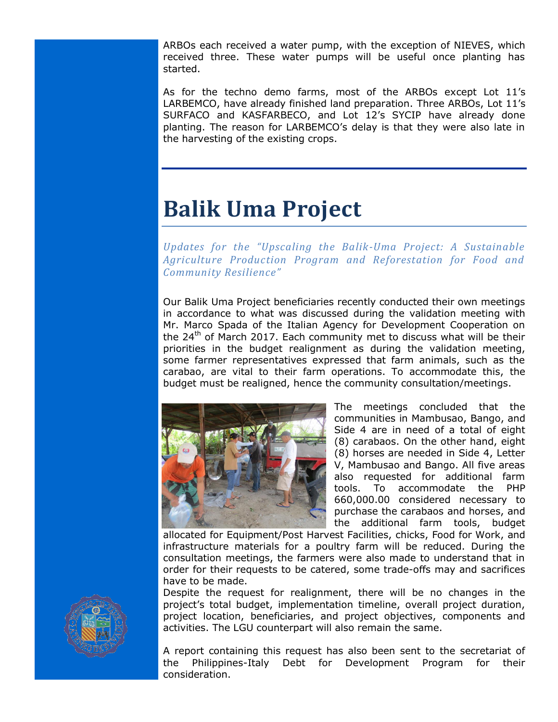ARBOs each received a water pump, with the exception of NIEVES, which received three. These water pumps will be useful once planting has started.

As for the techno demo farms, most of the ARBOs except Lot 11's LARBEMCO, have already finished land preparation. Three ARBOs, Lot 11's SURFACO and KASFARBECO, and Lot 12's SYCIP have already done planting. The reason for LARBEMCO's delay is that they were also late in the harvesting of the existing crops.

## **Balik Uma Project**

*Updates for the "Upscaling the Balik-Uma Project: A Sustainable Agriculture Production Program and Reforestation for Food and Community Resilience"*

Our Balik Uma Project beneficiaries recently conducted their own meetings in accordance to what was discussed during the validation meeting with Mr. Marco Spada of the Italian Agency for Development Cooperation on the  $24<sup>th</sup>$  of March 2017. Each community met to discuss what will be their priorities in the budget realignment as during the validation meeting, some farmer representatives expressed that farm animals, such as the carabao, are vital to their farm operations. To accommodate this, the budget must be realigned, hence the community consultation/meetings.



The meetings concluded that the communities in Mambusao, Bango, and Side 4 are in need of a total of eight (8) carabaos. On the other hand, eight (8) horses are needed in Side 4, Letter V, Mambusao and Bango. All five areas also requested for additional farm tools. To accommodate the PHP 660,000.00 considered necessary to purchase the carabaos and horses, and the additional farm tools, budget

allocated for Equipment/Post Harvest Facilities, chicks, Food for Work, and infrastructure materials for a poultry farm will be reduced. During the consultation meetings, the farmers were also made to understand that in order for their requests to be catered, some trade-offs may and sacrifices have to be made.

Despite the request for realignment, there will be no changes in the project's total budget, implementation timeline, overall project duration, project location, beneficiaries, and project objectives, components and activities. The LGU counterpart will also remain the same.

A report containing this request has also been sent to the secretariat of the Philippines-Italy Debt for Development Program for their consideration.